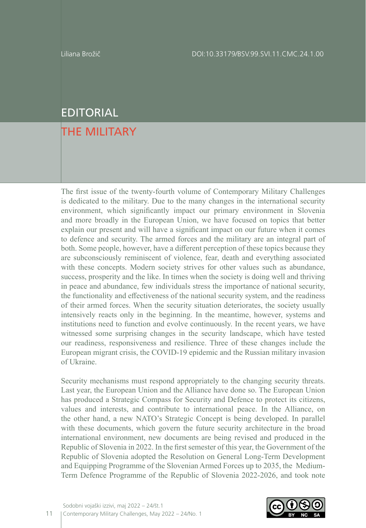## EDITORIAL

## THE MILITARY

The first issue of the twenty-fourth volume of Contemporary Military Challenges is dedicated to the military. Due to the many changes in the international security environment, which significantly impact our primary environment in Slovenia and more broadly in the European Union, we have focused on topics that better explain our present and will have a significant impact on our future when it comes to defence and security. The armed forces and the military are an integral part of both. Some people, however, have a different perception of these topics because they are subconsciously reminiscent of violence, fear, death and everything associated with these concepts. Modern society strives for other values such as abundance, success, prosperity and the like. In times when the society is doing well and thriving in peace and abundance, few individuals stress the importance of national security, the functionality and effectiveness of the national security system, and the readiness of their armed forces. When the security situation deteriorates, the society usually intensively reacts only in the beginning. In the meantime, however, systems and institutions need to function and evolve continuously. In the recent years, we have witnessed some surprising changes in the security landscape, which have tested our readiness, responsiveness and resilience. Three of these changes include the European migrant crisis, the COVID-19 epidemic and the Russian military invasion of Ukraine.

Security mechanisms must respond appropriately to the changing security threats. Last year, the European Union and the Alliance have done so. The European Union has produced a Strategic Compass for Security and Defence to protect its citizens, values and interests, and contribute to international peace. In the Alliance, on the other hand, a new NATO's Strategic Concept is being developed. In parallel with these documents, which govern the future security architecture in the broad international environment, new documents are being revised and produced in the Republic of Slovenia in 2022. In the first semester of this year, the Government of the Republic of Slovenia adopted the Resolution on General Long-Term Development and Equipping Programme of the Slovenian Armed Forces up to 2035, the Medium-Term Defence Programme of the Republic of Slovenia 2022-2026, and took note

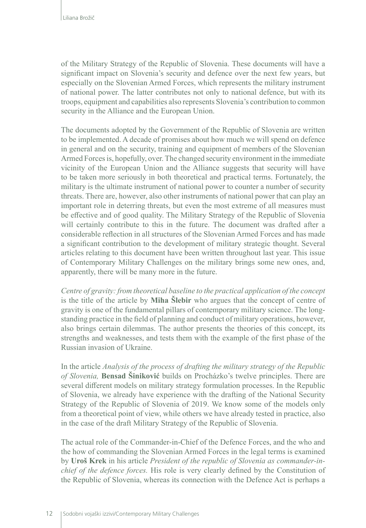of the Military Strategy of the Republic of Slovenia. These documents will have a significant impact on Slovenia's security and defence over the next few years, but especially on the Slovenian Armed Forces, which represents the military instrument of national power. The latter contributes not only to national defence, but with its troops, equipment and capabilities also represents Slovenia's contribution to common security in the Alliance and the European Union.

The documents adopted by the Government of the Republic of Slovenia are written to be implemented. A decade of promises about how much we will spend on defence in general and on the security, training and equipment of members of the Slovenian Armed Forces is, hopefully, over. The changed security environment in the immediate vicinity of the European Union and the Alliance suggests that security will have to be taken more seriously in both theoretical and practical terms. Fortunately, the military is the ultimate instrument of national power to counter a number of security threats. There are, however, also other instruments of national power that can play an important role in deterring threats, but even the most extreme of all measures must be effective and of good quality. The Military Strategy of the Republic of Slovenia will certainly contribute to this in the future. The document was drafted after a considerable reflection in all structures of the Slovenian Armed Forces and has made a significant contribution to the development of military strategic thought. Several articles relating to this document have been written throughout last year. This issue of Contemporary Military Challenges on the military brings some new ones, and, apparently, there will be many more in the future.

*Centre of gravity: from theoretical baseline to the practical application of the concept*  is the title of the article by **Miha Šlebir** who argues that the concept of centre of gravity is one of the fundamental pillars of contemporary military science. The longstanding practice in the field of planning and conduct of military operations, however, also brings certain dilemmas. The author presents the theories of this concept, its strengths and weaknesses, and tests them with the example of the first phase of the Russian invasion of Ukraine.

In the article *Analysis of the process of drafting the military strategy of the Republic of Slovenia,* **Bensad Šiniković** builds on Procházko's twelve principles. There are several different models on military strategy formulation processes. In the Republic of Slovenia, we already have experience with the drafting of the National Security Strategy of the Republic of Slovenia of 2019. We know some of the models only from a theoretical point of view, while others we have already tested in practice, also in the case of the draft Military Strategy of the Republic of Slovenia.

The actual role of the Commander-in-Chief of the Defence Forces, and the who and the how of commanding the Slovenian Armed Forces in the legal terms is examined by **Uroš Krek** in his article *President of the republic of Slovenia as commander-inchief of the defence forces.* His role is very clearly defined by the Constitution of the Republic of Slovenia, whereas its connection with the Defence Act is perhaps a